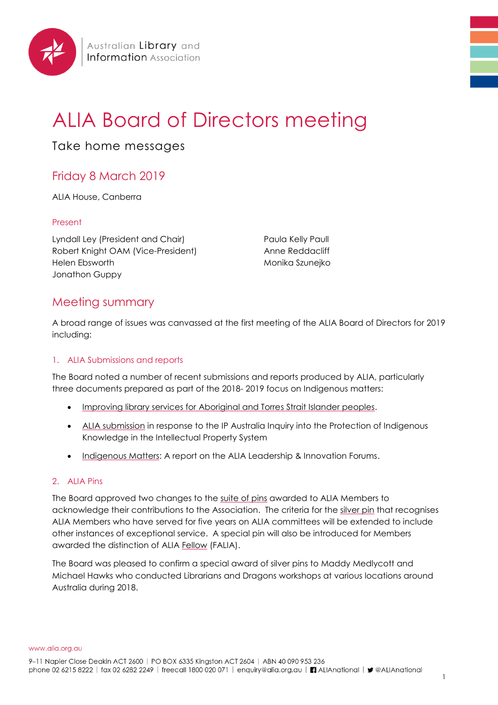

# ALIA Board of Directors meeting

Take home messages

## Friday 8 March 2019

ALIA House, Canberra

#### Present

Lyndall Ley (President and Chair) Robert Knight OAM (Vice-President) Helen Ebsworth Jonathon Guppy

Paula Kelly Paull Anne Reddacliff Monika Szunejko

### Meeting summary

A broad range of issues was canvassed at the first meeting of the ALIA Board of Directors for 2019 including:

#### 1. ALIA Submissions and reports

The Board noted a number of recent submissions and reports produced by ALIA, particularly three documents prepared as part of the 2018- 2019 focus on Indigenous matters:

- [Improving library services for Aboriginal and Torres Strait Islander peoples.](https://www.alia.org.au/sites/default/files/Indigenous%20collections%20and%20services%202019%20report_FINAL.pdf)
- [ALIA submission](https://www.ipaustralia.gov.au/sites/default/files/australian_library_and_information_association.pdf) in response to the IP Australia Inquiry into the Protection of Indigenous Knowledge in the Intellectual Property System
- [Indigenous Matters:](https://www.alia.org.au/sites/default/files/L%26I%20Forum%202018%20Summary%20Report_1.pdf) A report on the ALIA Leadership & Innovation Forums.

#### 2. ALIA Pins

The Board approved two changes to the [suite of pins](https://www.alia.org.au/awards) awarded to ALIA Members to acknowledge their contributions to the Association. The criteria for the [silver pin](https://www.alia.org.au/about-alia/awards-and-grants/331/alia-silver-pin) that recognises ALIA Members who have served for five years on ALIA committees will be extended to include other instances of exceptional service. A special pin will also be introduced for Members awarded the distinction of ALIA [Fellow](https://www.alia.org.au/about-alia/awards-and-grants/322/fellowship) (FALIA).

The Board was pleased to confirm a special award of silver pins to Maddy Medlycott and Michael Hawks who conducted Librarians and Dragons workshops at various locations around Australia during 2018.

www.alia.org.au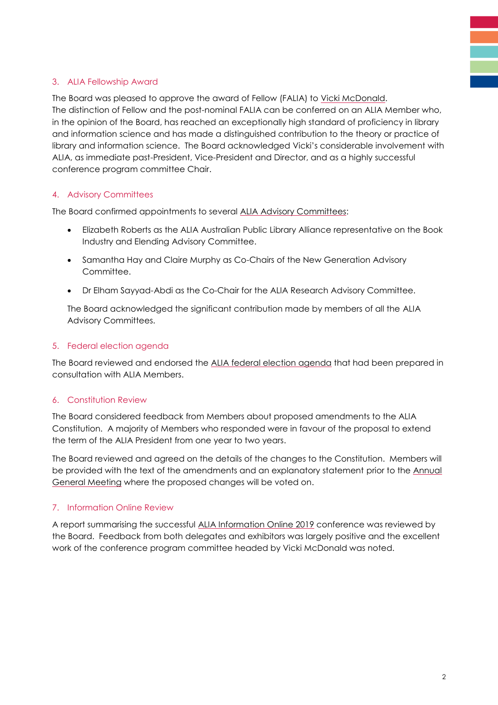#### 3. ALIA Fellowship Award

The Board was pleased to approve the award of Fellow (FALIA) to [Vicki McDonald.](https://www.alia.org.au/news/18348/alia-fellowship-bestowed-vicki-mcdonald) The distinction of Fellow and the post-nominal FALIA can be conferred on an ALIA Member who, in the opinion of the Board, has reached an exceptionally high standard of proficiency in library and information science and has made a distinguished contribution to the theory or practice of library and information science. The Board acknowledged Vicki's considerable involvement with ALIA, as immediate past-President, Vice-President and Director, and as a highly successful conference program committee Chair.

#### 4. Advisory Committees

The Board confirmed appointments to several [ALIA Advisory Committees:](https://www.alia.org.au/about-alia/governance-and-structure)

- Elizabeth Roberts as the ALIA Australian Public Library Alliance representative on the Book Industry and Elending Advisory Committee.
- Samantha Hay and Claire Murphy as Co-Chairs of the New Generation Advisory Committee.
- Dr Elham Sayyad-Abdi as the Co-Chair for the ALIA Research Advisory Committee.

The Board acknowledged the significant contribution made by members of all the ALIA Advisory Committees.

#### 5. Federal election agenda

The Board reviewed and endorsed the [ALIA federal election agenda](https://www.alia.org.au/news/17990/2019-alia-federal-election-agenda) that had been prepared in consultation with ALIA Members.

#### 6. Constitution Review

The Board considered feedback from Members about proposed amendments to the ALIA Constitution. A majority of Members who responded were in favour of the proposal to extend the term of the ALIA President from one year to two years.

The Board reviewed and agreed on the details of the changes to the Constitution. Members will be provided with the text of the amendments and an explanatory statement prior to the Annual [General Meeting](https://www.alia.org.au/AGM) where the proposed changes will be voted on.

#### 7. Information Online Review

A report summarising the successful [ALIA Information Online 2019](http://informationonline.alia.org.au/events/alia-information-online-2019/event-summary-76401a9b53374affbf95897d17939fb5.aspx) conference was reviewed by the Board. Feedback from both delegates and exhibitors was largely positive and the excellent work of the conference program committee headed by Vicki McDonald was noted.